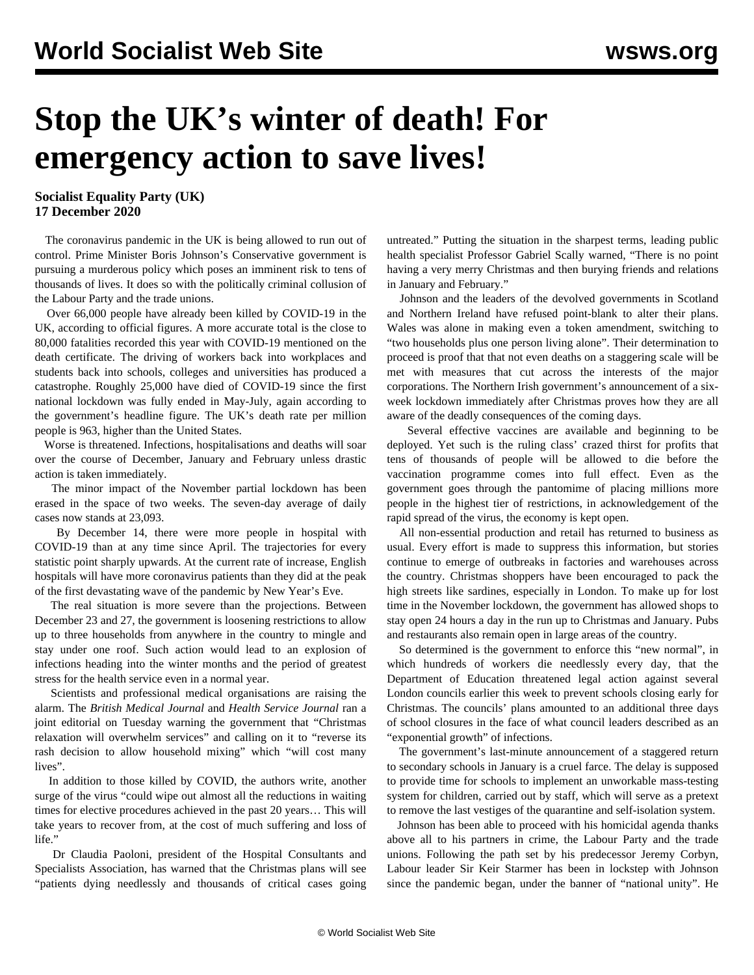## **Stop the UK's winter of death! For emergency action to save lives!**

**Socialist Equality Party (UK) 17 December 2020**

 The coronavirus pandemic in the UK is being allowed to run out of control. Prime Minister Boris Johnson's Conservative government is pursuing a murderous policy which poses an imminent risk to tens of thousands of lives. It does so with the politically criminal collusion of the Labour Party and the trade unions.

 Over 66,000 people have already been killed by COVID-19 in the UK, according to official figures. A more accurate total is the close to 80,000 fatalities recorded this year with COVID-19 mentioned on the death certificate. The driving of workers back into workplaces and students back into schools, colleges and universities has produced a catastrophe. Roughly 25,000 have died of COVID-19 since the first national lockdown was fully ended in May-July, again according to the government's headline figure. The UK's death rate per million people is 963, higher than the United States.

 Worse is threatened. Infections, hospitalisations and deaths will soar over the course of December, January and February unless drastic action is taken immediately.

 The minor impact of the November partial lockdown has been erased in the space of two weeks. The seven-day average of daily cases now stands at 23,093.

 By December 14, there were more people in hospital with COVID-19 than at any time since April. The trajectories for every statistic point sharply upwards. At the current rate of increase, English hospitals will have more coronavirus patients than they did at the peak of the first devastating wave of the pandemic by New Year's Eve.

 The real situation is more severe than the projections. Between December 23 and 27, the government is loosening restrictions to allow up to three households from anywhere in the country to mingle and stay under one roof. Such action would lead to an explosion of infections heading into the winter months and the period of greatest stress for the health service even in a normal year.

 Scientists and professional medical organisations are raising the alarm. The *British Medical Journal* and *Health Service Journal* ran a joint editorial on Tuesday warning the government that "Christmas relaxation will overwhelm services" and calling on it to "reverse its rash decision to allow household mixing" which "will cost many lives".

 In addition to those killed by COVID, the authors write, another surge of the virus "could wipe out almost all the reductions in waiting times for elective procedures achieved in the past 20 years… This will take years to recover from, at the cost of much suffering and loss of life."

 Dr Claudia Paoloni, president of the Hospital Consultants and Specialists Association, has warned that the Christmas plans will see "patients dying needlessly and thousands of critical cases going

untreated." Putting the situation in the sharpest terms, leading public health specialist Professor Gabriel Scally warned, "There is no point having a very merry Christmas and then burying friends and relations in January and February."

 Johnson and the leaders of the devolved governments in Scotland and Northern Ireland have refused point-blank to alter their plans. Wales was alone in making even a token amendment, switching to "two households plus one person living alone". Their determination to proceed is proof that that not even deaths on a staggering scale will be met with measures that cut across the interests of the major corporations. The Northern Irish government's announcement of a sixweek lockdown immediately after Christmas proves how they are all aware of the deadly consequences of the coming days.

 Several effective vaccines are available and beginning to be deployed. Yet such is the ruling class' crazed thirst for profits that tens of thousands of people will be allowed to die before the vaccination programme comes into full effect. Even as the government goes through the pantomime of placing millions more people in the highest tier of restrictions, in acknowledgement of the rapid spread of the virus, the economy is kept open.

 All non-essential production and retail has returned to business as usual. Every effort is made to suppress this information, but stories continue to emerge of outbreaks in factories and warehouses across the country. Christmas shoppers have been encouraged to pack the high streets like sardines, especially in London. To make up for lost time in the November lockdown, the government has allowed shops to stay open 24 hours a day in the run up to Christmas and January. Pubs and restaurants also remain open in large areas of the country.

 So determined is the government to enforce this "new normal", in which hundreds of workers die needlessly every day, that the Department of Education threatened legal action against several London councils earlier this week to prevent schools closing early for Christmas. The councils' plans amounted to an additional three days of school closures in the face of what council leaders described as an "exponential growth" of infections.

 The government's last-minute announcement of a staggered return to secondary schools in January is a cruel farce. The delay is supposed to provide time for schools to implement an unworkable mass-testing system for children, carried out by staff, which will serve as a pretext to remove the last vestiges of the quarantine and self-isolation system.

 Johnson has been able to proceed with his homicidal agenda thanks above all to his partners in crime, the Labour Party and the trade unions. Following the path set by his predecessor Jeremy Corbyn, Labour leader Sir Keir Starmer has been in lockstep with Johnson since the pandemic began, under the banner of "national unity". He